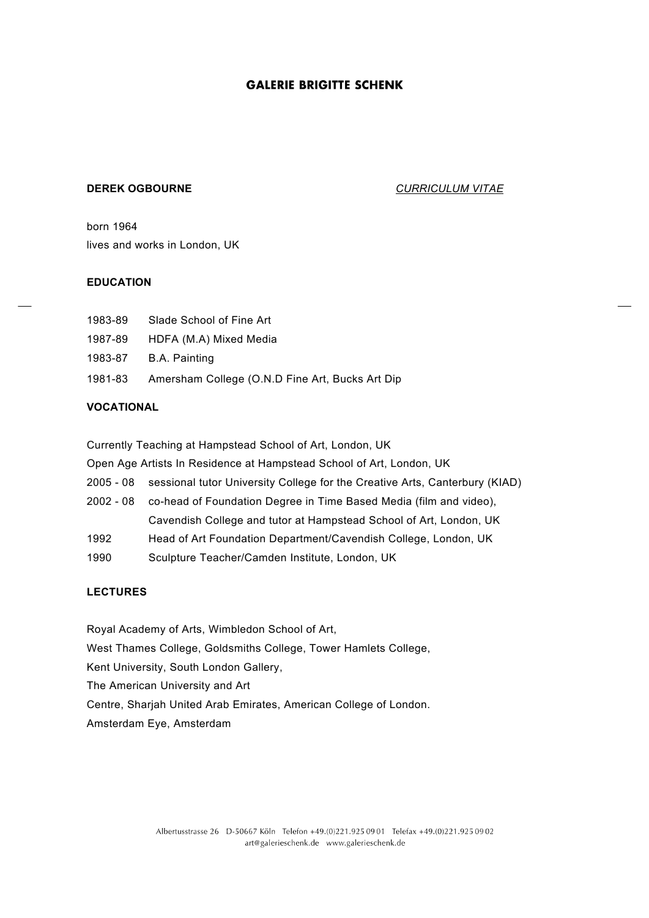#### **DEREK OGBOURNE** *CURRICULUM VITAE*

born 1964 lives and works in London, UK

#### **EDUCATION**

| 1983-89 |  | Slade School of Fine Art |
|---------|--|--------------------------|
|         |  |                          |

- 1987-89 HDFA (M.A) Mixed Media
- 1983-87 B.A. Painting
- 1981-83 Amersham College (O.N.D Fine Art, Bucks Art Dip

#### **VOCATIONAL**

Currently Teaching at Hampstead School of Art, London, UK

Open Age Artists In Residence at Hampstead School of Art, London, UK

- 2005 08 sessional tutor University College for the Creative Arts, Canterbury (KIAD)
- 2002 08 co-head of Foundation Degree in Time Based Media (film and video), Cavendish College and tutor at Hampstead School of Art, London, UK
- 1992 Head of Art Foundation Department/Cavendish College, London, UK
- 1990 Sculpture Teacher/Camden Institute, London, UK

### **LECTURES**

Royal Academy of Arts, Wimbledon School of Art, West Thames College, Goldsmiths College, Tower Hamlets College, Kent University, South London Gallery, The American University and Art Centre, Sharjah United Arab Emirates, American College of London. Amsterdam Eye, Amsterdam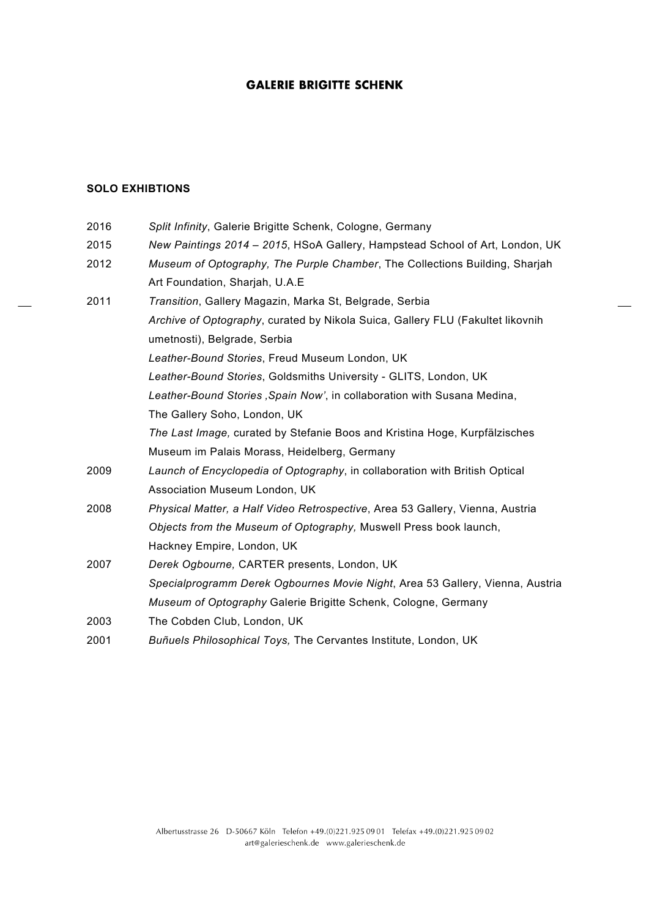# **SOLO EXHIBTIONS**

| 2016 | Split Infinity, Galerie Brigitte Schenk, Cologne, Germany                      |
|------|--------------------------------------------------------------------------------|
| 2015 | New Paintings 2014 - 2015, HSoA Gallery, Hampstead School of Art, London, UK   |
| 2012 | Museum of Optography, The Purple Chamber, The Collections Building, Sharjah    |
|      | Art Foundation, Sharjah, U.A.E.                                                |
| 2011 | Transition, Gallery Magazin, Marka St, Belgrade, Serbia                        |
|      | Archive of Optography, curated by Nikola Suica, Gallery FLU (Fakultet likovnih |
|      | umetnosti), Belgrade, Serbia                                                   |
|      | Leather-Bound Stories, Freud Museum London, UK                                 |
|      | Leather-Bound Stories, Goldsmiths University - GLITS, London, UK               |
|      | Leather-Bound Stories, Spain Now', in collaboration with Susana Medina,        |
|      | The Gallery Soho, London, UK                                                   |
|      | The Last Image, curated by Stefanie Boos and Kristina Hoge, Kurpfälzisches     |
|      | Museum im Palais Morass, Heidelberg, Germany                                   |
| 2009 | Launch of Encyclopedia of Optography, in collaboration with British Optical    |
|      | Association Museum London, UK                                                  |
| 2008 | Physical Matter, a Half Video Retrospective, Area 53 Gallery, Vienna, Austria  |
|      | Objects from the Museum of Optography, Muswell Press book launch,              |
|      | Hackney Empire, London, UK                                                     |
| 2007 | Derek Ogbourne, CARTER presents, London, UK                                    |
|      | Specialprogramm Derek Ogbournes Movie Night, Area 53 Gallery, Vienna, Austria  |
|      | Museum of Optography Galerie Brigitte Schenk, Cologne, Germany                 |
| 2003 | The Cobden Club, London, UK                                                    |
| 2001 | Buñuels Philosophical Toys, The Cervantes Institute, London, UK                |
|      |                                                                                |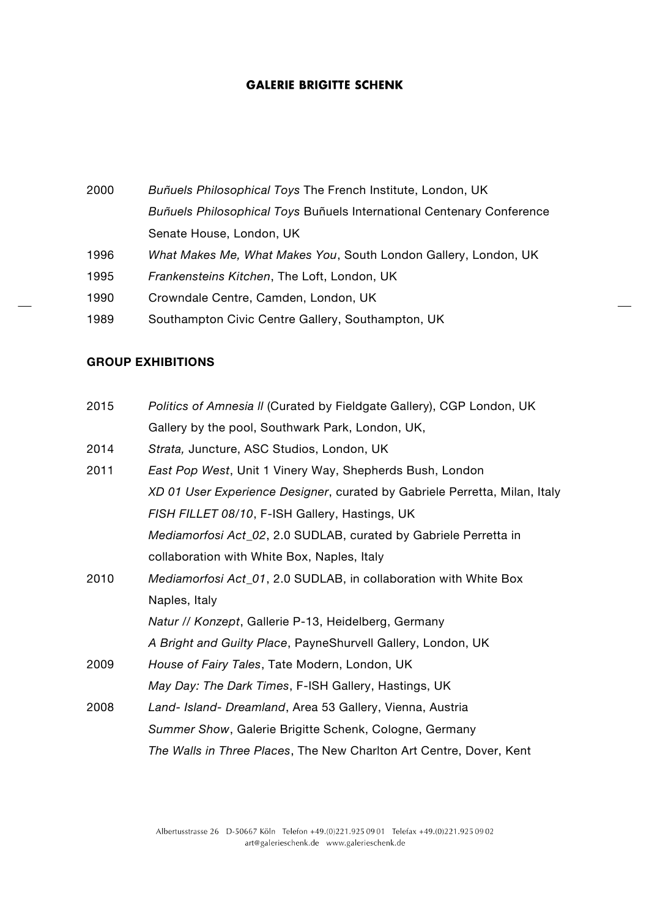*Buñuels Philosophical Toys* The French Institute, London, UK *Buñuels Philosophical Toys* Buñuels International Centenary Conference Senate House, London, UK *What Makes Me, What Makes You*, South London Gallery, London, UK *Frankensteins Kitchen*, The Loft, London, UK Crowndale Centre, Camden, London, UK Southampton Civic Centre Gallery, Southampton, UK

#### **GROUP EXHIBITIONS**

- 2015 *Politics of Amnesia ll* (Curated by Fieldgate Gallery), CGP London, UK Gallery by the pool, Southwark Park, London, UK,
- 2014 *Strata,* Juncture, ASC Studios, London, UK
- 2011 *East Pop West*, Unit 1 Vinery Way, Shepherds Bush, London *XD 01 User Experience Designer*, curated by Gabriele Perretta, Milan, Italy *FISH FILLET 08/10*, F-ISH Gallery, Hastings, UK *Mediamorfosi Act\_02*, 2.0 SUDLAB, curated by Gabriele Perretta in collaboration with White Box, Naples, Italy 2010 *Mediamorfosi Act\_01*, 2.0 SUDLAB, in collaboration with White Box Naples, Italy *Natur // Konzept*, Gallerie P-13, Heidelberg, Germany *A Bright and Guilty Place*, PayneShurvell Gallery, London, UK 2009 *House of Fairy Tales*, Tate Modern, London, UK *May Day: The Dark Times*, F-ISH Gallery, Hastings, UK
- 2008 *Land- Island- Dreamland*, Area 53 Gallery, Vienna, Austria *Summer Show*, Galerie Brigitte Schenk, Cologne, Germany *The Walls in Three Places*, The New Charlton Art Centre, Dover, Kent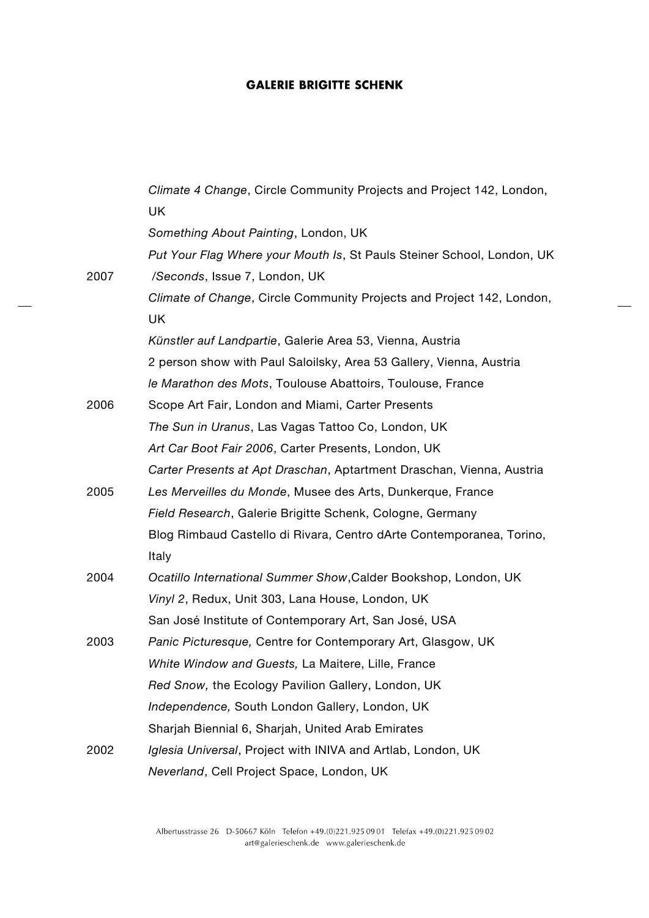|      | Climate 4 Change, Circle Community Projects and Project 142, London,   |
|------|------------------------------------------------------------------------|
|      | <b>UK</b>                                                              |
|      | Something About Painting, London, UK                                   |
|      | Put Your Flag Where your Mouth Is, St Pauls Steiner School, London, UK |
| 2007 | /Seconds, Issue 7, London, UK                                          |
|      | Climate of Change, Circle Community Projects and Project 142, London,  |
|      | <b>UK</b>                                                              |
|      | Künstler auf Landpartie, Galerie Area 53, Vienna, Austria              |
|      | 2 person show with Paul Saloilsky, Area 53 Gallery, Vienna, Austria    |
|      | le Marathon des Mots, Toulouse Abattoirs, Toulouse, France             |
| 2006 | Scope Art Fair, London and Miami, Carter Presents                      |
|      | The Sun in Uranus, Las Vagas Tattoo Co, London, UK                     |
|      | Art Car Boot Fair 2006, Carter Presents, London, UK                    |
|      | Carter Presents at Apt Draschan, Aptartment Draschan, Vienna, Austria  |
| 2005 | Les Merveilles du Monde, Musee des Arts, Dunkerque, France             |
|      | Field Research, Galerie Brigitte Schenk, Cologne, Germany              |
|      | Blog Rimbaud Castello di Rivara, Centro dArte Contemporanea, Torino,   |
|      | Italy                                                                  |
| 2004 | Ocatillo International Summer Show, Calder Bookshop, London, UK        |
|      | Vinyl 2, Redux, Unit 303, Lana House, London, UK                       |
|      | San José Institute of Contemporary Art, San José, USA                  |
| 2003 | Panic Picturesque, Centre for Contemporary Art, Glasgow, UK            |
|      | White Window and Guests, La Maitere, Lille, France                     |
|      | Red Snow, the Ecology Pavilion Gallery, London, UK                     |
|      | Independence, South London Gallery, London, UK                         |
|      | Sharjah Biennial 6, Sharjah, United Arab Emirates                      |
| 2002 | Iglesia Universal, Project with INIVA and Artlab, London, UK           |
|      | Neverland, Cell Project Space, London, UK                              |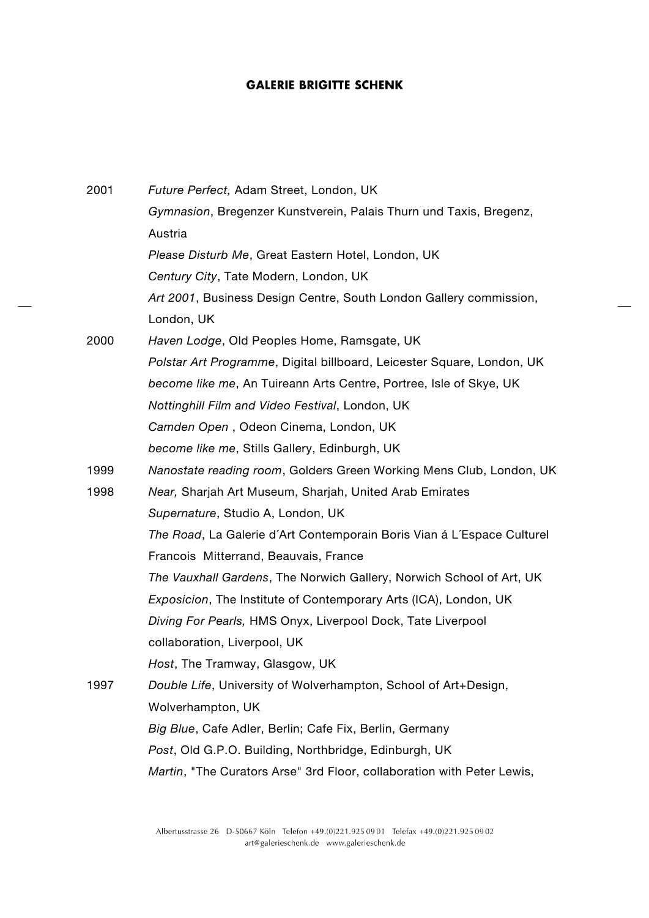| 2001 | Future Perfect, Adam Street, London, UK                                |
|------|------------------------------------------------------------------------|
|      | Gymnasion, Bregenzer Kunstverein, Palais Thurn und Taxis, Bregenz,     |
|      | Austria                                                                |
|      | Please Disturb Me, Great Eastern Hotel, London, UK                     |
|      | Century City, Tate Modern, London, UK                                  |
|      | Art 2001, Business Design Centre, South London Gallery commission,     |
|      | London, UK                                                             |
| 2000 | Haven Lodge, Old Peoples Home, Ramsgate, UK                            |
|      | Polstar Art Programme, Digital billboard, Leicester Square, London, UK |
|      | become like me, An Tuireann Arts Centre, Portree, Isle of Skye, UK     |
|      | Nottinghill Film and Video Festival, London, UK                        |
|      | Camden Open, Odeon Cinema, London, UK                                  |
|      | become like me, Stills Gallery, Edinburgh, UK                          |
| 1999 | Nanostate reading room, Golders Green Working Mens Club, London, UK    |
| 1998 | Near, Sharjah Art Museum, Sharjah, United Arab Emirates                |
|      | Supernature, Studio A, London, UK                                      |
|      | The Road, La Galerie d'Art Contemporain Boris Vian á L'Espace Culturel |
|      | Francois Mitterrand, Beauvais, France                                  |
|      | The Vauxhall Gardens, The Norwich Gallery, Norwich School of Art, UK   |
|      | Exposicion, The Institute of Contemporary Arts (ICA), London, UK       |
|      | Diving For Pearls, HMS Onyx, Liverpool Dock, Tate Liverpool            |
|      | collaboration, Liverpool, UK                                           |
|      | Host, The Tramway, Glasgow, UK                                         |
| 1997 | Double Life, University of Wolverhampton, School of Art+Design,        |
|      | Wolverhampton, UK                                                      |
|      | Big Blue, Cafe Adler, Berlin; Cafe Fix, Berlin, Germany                |
|      | Post, Old G.P.O. Building, Northbridge, Edinburgh, UK                  |
|      | Martin, "The Curators Arse" 3rd Floor, collaboration with Peter Lewis, |

 $\overline{a}$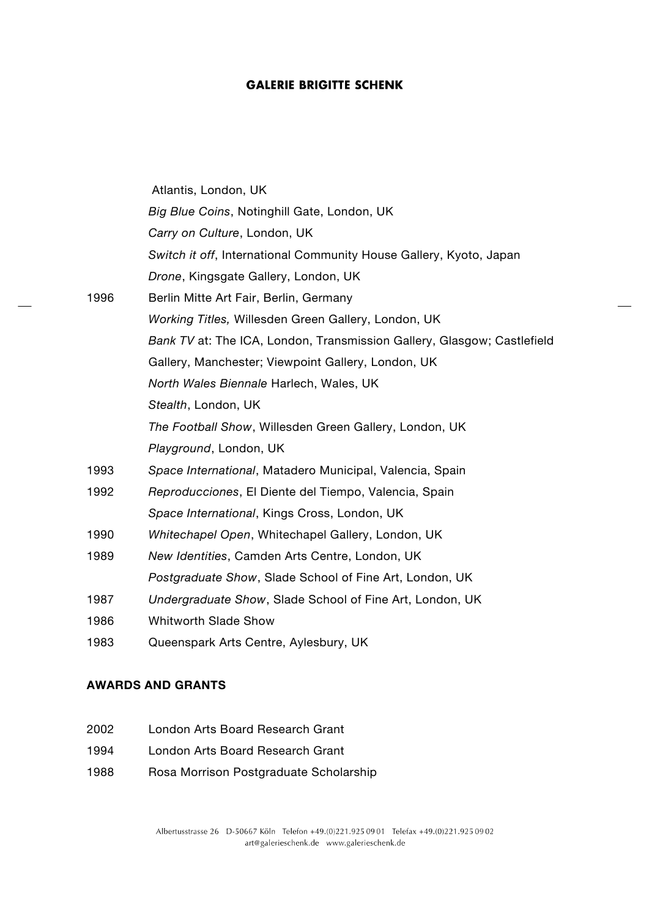|      | Atlantis, London, UK                                                    |
|------|-------------------------------------------------------------------------|
|      | Big Blue Coins, Notinghill Gate, London, UK                             |
|      | Carry on Culture, London, UK                                            |
|      | Switch it off, International Community House Gallery, Kyoto, Japan      |
|      | Drone, Kingsgate Gallery, London, UK                                    |
| 1996 | Berlin Mitte Art Fair, Berlin, Germany                                  |
|      | Working Titles, Willesden Green Gallery, London, UK                     |
|      | Bank TV at: The ICA, London, Transmission Gallery, Glasgow; Castlefield |
|      | Gallery, Manchester; Viewpoint Gallery, London, UK                      |
|      | North Wales Biennale Harlech, Wales, UK                                 |
|      | Stealth, London, UK                                                     |
|      | The Football Show, Willesden Green Gallery, London, UK                  |
|      | Playground, London, UK                                                  |
| 1993 | Space International, Matadero Municipal, Valencia, Spain                |
| 1992 | Reproducciones, El Diente del Tiempo, Valencia, Spain                   |
|      | Space International, Kings Cross, London, UK                            |
| 1990 | Whitechapel Open, Whitechapel Gallery, London, UK                       |
| 1989 | New Identities, Camden Arts Centre, London, UK                          |
|      | Postgraduate Show, Slade School of Fine Art, London, UK                 |
| 1987 | Undergraduate Show, Slade School of Fine Art, London, UK                |
| 1986 | <b>Whitworth Slade Show</b>                                             |
| 1983 | Queenspark Arts Centre, Aylesbury, UK                                   |

## **AWARDS AND GRANTS**

- 2002 London Arts Board Research Grant
- 1994 London Arts Board Research Grant
- 1988 Rosa Morrison Postgraduate Scholarship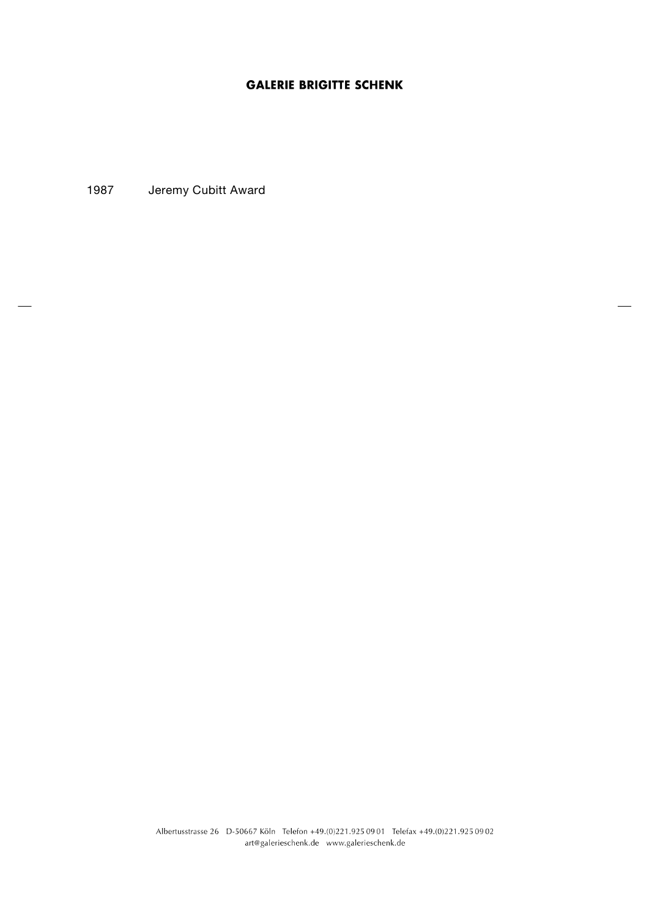1987 Jeremy Cubitt Award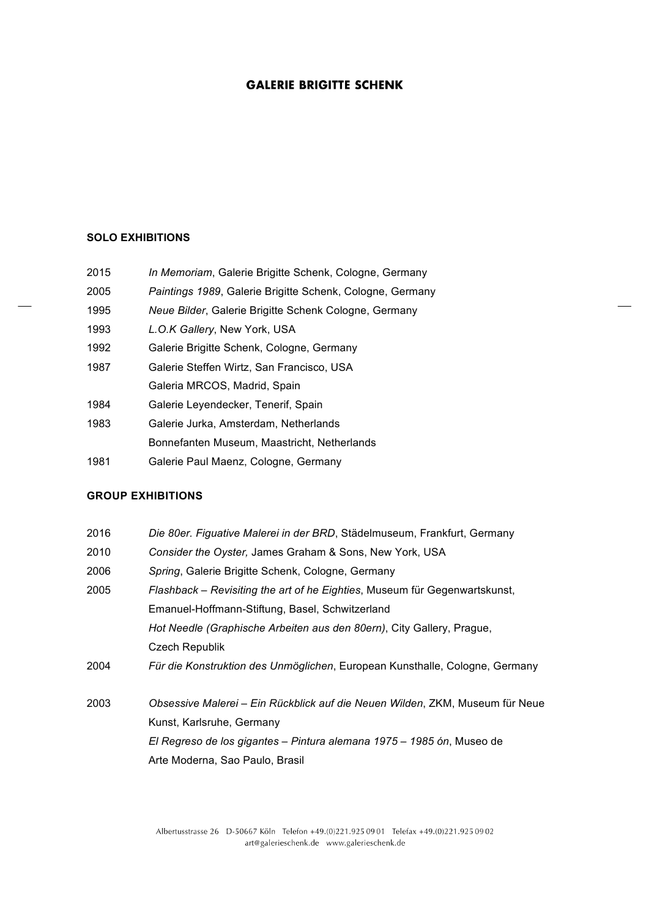#### **SOLO EXHIBITIONS**

| 2015 |  | In Memoriam, Galerie Brigitte Schenk, Cologne, Germany |  |
|------|--|--------------------------------------------------------|--|
|------|--|--------------------------------------------------------|--|

- 2005 *Paintings 1989*, Galerie Brigitte Schenk, Cologne, Germany
- 1995 *Neue Bilder*, Galerie Brigitte Schenk Cologne, Germany
- 1993 *L.O.K Gallery*, New York, USA
- 1992 Galerie Brigitte Schenk, Cologne, Germany
- 1987 Galerie Steffen Wirtz, San Francisco, USA Galeria MRCOS, Madrid, Spain
- 1984 Galerie Leyendecker, Tenerif, Spain
- 1983 Galerie Jurka, Amsterdam, Netherlands Bonnefanten Museum, Maastricht, Netherlands
- 1981 Galerie Paul Maenz, Cologne, Germany

#### **GROUP EXHIBITIONS**

- 2016 *Die 80er. Figuative Malerei in der BRD*, Städelmuseum, Frankfurt, Germany
- 2010 *Consider the Oyster,* James Graham & Sons, New York, USA
- 2006 *Spring*, Galerie Brigitte Schenk, Cologne, Germany
- 2005 *Flashback Revisiting the art of he Eighties*, Museum für Gegenwartskunst, Emanuel-Hoffmann-Stiftung, Basel, Schwitzerland *Hot Needle (Graphische Arbeiten aus den 80ern)*, City Gallery, Prague, Czech Republik
- 2004 *Für die Konstruktion des Unmöglichen*, European Kunsthalle, Cologne, Germany
- 2003 *Obsessive Malerei Ein Rückblick auf die Neuen Wilden*, ZKM, Museum für Neue Kunst, Karlsruhe, Germany *El Regreso de los gigantes – Pintura alemana 1975 – 1985 ón*, Museo de Arte Moderna, Sao Paulo, Brasil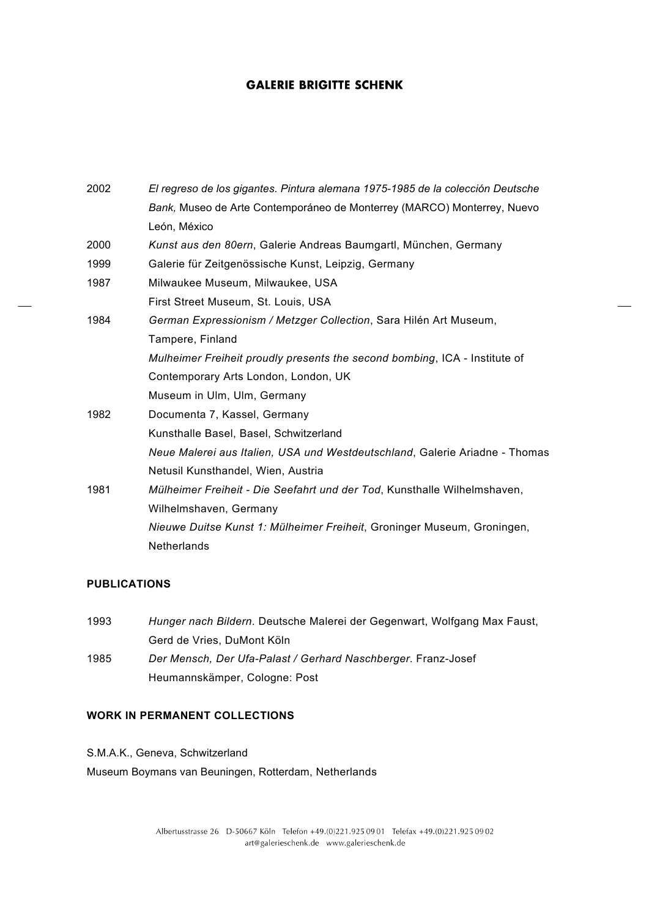| 2002 | El regreso de los gigantes. Pintura alemana 1975-1985 de la colección Deutsche |
|------|--------------------------------------------------------------------------------|
|      | Bank, Museo de Arte Contemporáneo de Monterrey (MARCO) Monterrey, Nuevo        |
|      | León, México                                                                   |
| 2000 | Kunst aus den 80ern, Galerie Andreas Baumgartl, München, Germany               |
| 1999 | Galerie für Zeitgenössische Kunst, Leipzig, Germany                            |
| 1987 | Milwaukee Museum, Milwaukee, USA                                               |
|      | First Street Museum, St. Louis, USA                                            |
| 1984 | German Expressionism / Metzger Collection, Sara Hilén Art Museum,              |
|      | Tampere, Finland                                                               |
|      | Mulheimer Freiheit proudly presents the second bombing, ICA - Institute of     |
|      | Contemporary Arts London, London, UK                                           |
|      | Museum in Ulm, Ulm, Germany                                                    |
| 1982 | Documenta 7, Kassel, Germany                                                   |
|      | Kunsthalle Basel, Basel, Schwitzerland                                         |
|      | Neue Malerei aus Italien, USA und Westdeutschland, Galerie Ariadne - Thomas    |
|      | Netusil Kunsthandel, Wien, Austria                                             |
| 1981 | Mülheimer Freiheit - Die Seefahrt und der Tod, Kunsthalle Wilhelmshaven,       |
|      | Wilhelmshaven, Germany                                                         |
|      | Nieuwe Duitse Kunst 1: Mülheimer Freiheit, Groninger Museum, Groningen,        |
|      | <b>Netherlands</b>                                                             |

# **PUBLICATIONS**

| 1993 | Hunger nach Bildern. Deutsche Malerei der Gegenwart, Wolfgang Max Faust, |
|------|--------------------------------------------------------------------------|
|      | Gerd de Vries, DuMont Köln                                               |
| 1985 | Der Mensch, Der Ufa-Palast / Gerhard Naschberger. Franz-Josef            |
|      | Heumannskämper, Cologne: Post                                            |

## **WORK IN PERMANENT COLLECTIONS**

S.M.A.K., Geneva, Schwitzerland

Museum Boymans van Beuningen, Rotterdam, Netherlands